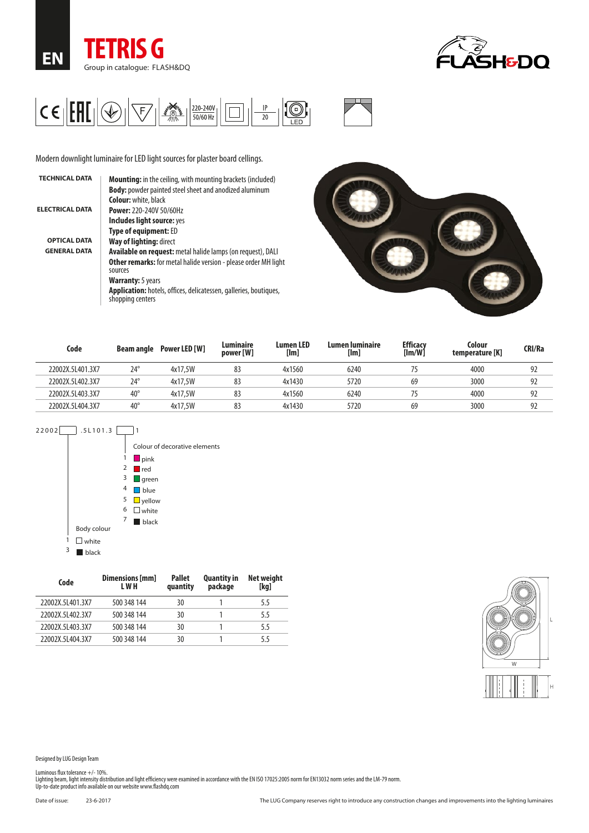





Modern downlight luminaire for LED light sources for plaster board cellings.

| <b>TECHNICAL DATA</b>  | <b>Mounting:</b> in the ceiling, with mounting brackets (included)                           |
|------------------------|----------------------------------------------------------------------------------------------|
|                        | <b>Body:</b> powder painted steel sheet and anodized aluminum                                |
|                        | <b>Colour:</b> white, black                                                                  |
| <b>ELECTRICAL DATA</b> | <b>Power: 220-240V 50/60Hz</b>                                                               |
|                        | Includes light source: yes                                                                   |
|                        | Type of equipment: ED                                                                        |
| <b>OPTICAL DATA</b>    | Way of lighting: direct                                                                      |
| <b>GENERAL DATA</b>    | <b>Available on request:</b> metal halide lamps (on request), DALI                           |
|                        | <b>Other remarks:</b> for metal halide version - please order MH light<br>sources            |
|                        | <b>Warranty:</b> 5 years                                                                     |
|                        | <b>Application:</b> hotels, offices, delicatessen, galleries, boutiques,<br>shopping centers |
|                        |                                                                                              |



| Code             | <b>Beam angle</b> | Power LED [W] | Luminaire<br>power [W] | <b>Lumen LED</b><br>[Im] | Lumen luminaire<br>[Im] | <b>Efficacy</b><br>[Im/W] | Colour<br>temperature [K] | <b>CRI/Ra</b> |
|------------------|-------------------|---------------|------------------------|--------------------------|-------------------------|---------------------------|---------------------------|---------------|
| 22002X.5L401.3X7 | $24^{\circ}$      | 4x17,5W       | 83                     | 4x1560                   | 6240                    |                           | 4000                      | 92            |
| 22002X.5L402.3X7 | $24^{\circ}$      | 4x17,5W       | 83                     | 4x1430                   | 5720                    | 69                        | 3000                      | 92            |
| 22002X.5L403.3X7 | $40^{\circ}$      | 4x17,5W       | 83                     | 4x1560                   | 6240                    |                           | 4000                      | 92            |
| 22002X.5L404.3X7 | $40^{\circ}$      | 4x17,5W       | 83                     | 4x1430                   | 5720                    | 69                        | 3000                      | 92            |



| Code             | Dimensions [mm]<br>L W H | <b>Pallet</b><br>quantity | <b>Quantity in</b><br>package | Net weight<br>[kg] |
|------------------|--------------------------|---------------------------|-------------------------------|--------------------|
| 22002X.5L401.3X7 | 500 348 144              | 30                        |                               | 5.5                |
| 22002X.5L402.3X7 | 500 348 144              | 30                        |                               | 5.5                |
| 22002X.5L403.3X7 | 500 348 144              | 30                        |                               | 5.5                |
| 22002X.5L404.3X7 | 500 348 144              | 30                        |                               | 55                 |



Designed by LUG Design Team

Luminous flux tolerance +/- 10%.<br>Lighting beam, light intensity distribution and light efficiency were examined in accordance with the EN ISO 17025:2005 norm for EN13032 norm series and the LM-79 norm.<br>Up-to-date product i